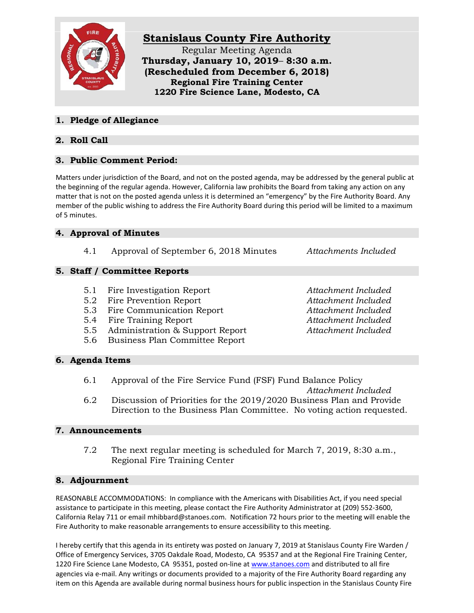

# **Stanislaus County Fire Authority**

Regular Meeting Agenda **Thursday, January 10, 2019**– **8:30 a.m. (Rescheduled from December 6, 2018) Regional Fire Training Center 1220 Fire Science Lane, Modesto, CA**

## **1. Pledge of Allegiance**

## **2. Roll Call**

## **3. Public Comment Period:**

Matters under jurisdiction of the Board, and not on the posted agenda, may be addressed by the general public at the beginning of the regular agenda. However, California law prohibits the Board from taking any action on any matter that is not on the posted agenda unless it is determined an "emergency" by the Fire Authority Board. Any member of the public wishing to address the Fire Authority Board during this period will be limited to a maximum of 5 minutes.

## **4. Approval of Minutes**

4.1 Approval of September 6, 2018 Minutes *Attachments Included*

## **5. Staff / Committee Reports**

- 5.1 Fire Investigation Report *Attachment Included*
- 5.2 Fire Prevention Report *Attachment Included*
- 5.3 Fire Communication Report *Attachment Included*
- 5.4 Fire Training Report *Attachment Included*
- 5.5 Administration & Support Report *Attachment Included*
- 5.6 Business Plan Committee Report

**6. Agenda Items**

- 6.1 Approval of the Fire Service Fund (FSF) Fund Balance Policy *Attachment Included* 6.2 Discussion of Priorities for the 2019/2020 Business Plan and Provide
- Direction to the Business Plan Committee. No voting action requested.

#### **7. Announcements**

7.2 The next regular meeting is scheduled for March 7, 2019, 8:30 a.m., Regional Fire Training Center

#### **8. Adjournment**

REASONABLE ACCOMMODATIONS: In compliance with the Americans with Disabilities Act, if you need special assistance to participate in this meeting, please contact the Fire Authority Administrator at (209) 552-3600, California Relay 711 or email mhibbard@stanoes.com. Notification 72 hours prior to the meeting will enable the Fire Authority to make reasonable arrangements to ensure accessibility to this meeting.

I hereby certify that this agenda in its entirety was posted on January 7, 2019 at Stanislaus County Fire Warden / Office of Emergency Services, 3705 Oakdale Road, Modesto, CA 95357 and at the Regional Fire Training Center, 1220 Fire Science Lane Modesto, CA 95351, posted on-line at [www.stanoes.com](http://www.stanoes.com/) and distributed to all fire agencies via e-mail. Any writings or documents provided to a majority of the Fire Authority Board regarding any item on this Agenda are available during normal business hours for public inspection in the Stanislaus County Fire